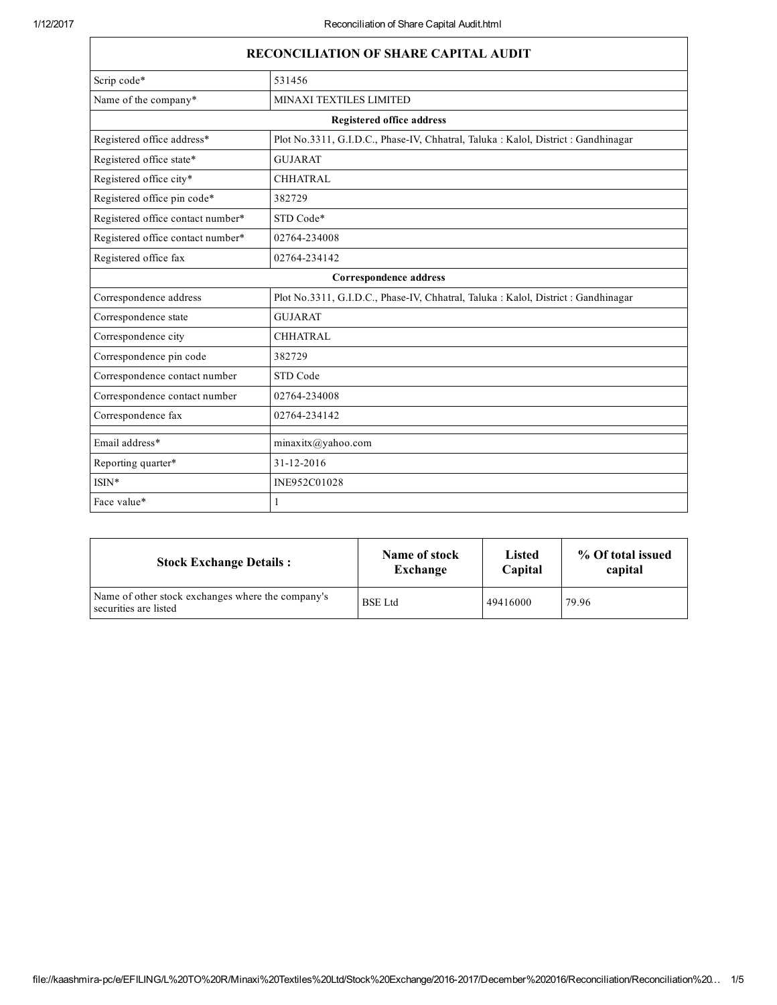| <b>RECONCILIATION OF SHARE CAPITAL AUDIT</b> |                                                                                    |  |  |  |
|----------------------------------------------|------------------------------------------------------------------------------------|--|--|--|
| Scrip code*                                  | 531456                                                                             |  |  |  |
| Name of the company*                         | MINAXI TEXTILES LIMITED                                                            |  |  |  |
|                                              | <b>Registered office address</b>                                                   |  |  |  |
| Registered office address*                   | Plot No.3311, G.I.D.C., Phase-IV, Chhatral, Taluka : Kalol, District : Gandhinagar |  |  |  |
| Registered office state*                     | <b>GUJARAT</b>                                                                     |  |  |  |
| Registered office city*                      | <b>CHHATRAL</b>                                                                    |  |  |  |
| Registered office pin code*                  | 382729                                                                             |  |  |  |
| Registered office contact number*            | STD Code*                                                                          |  |  |  |
| Registered office contact number*            | 02764-234008                                                                       |  |  |  |
| Registered office fax                        | 02764-234142                                                                       |  |  |  |
|                                              | Correspondence address                                                             |  |  |  |
| Correspondence address                       | Plot No.3311, G.I.D.C., Phase-IV, Chhatral, Taluka : Kalol, District : Gandhinagar |  |  |  |
| Correspondence state                         | <b>GUJARAT</b>                                                                     |  |  |  |
| Correspondence city                          | <b>CHHATRAL</b>                                                                    |  |  |  |
| Correspondence pin code                      | 382729                                                                             |  |  |  |
| Correspondence contact number                | STD Code                                                                           |  |  |  |
| Correspondence contact number                | 02764-234008                                                                       |  |  |  |
| Correspondence fax                           | 02764-234142                                                                       |  |  |  |
| Email address*                               | minaxitx@yahoo.com                                                                 |  |  |  |
| Reporting quarter*                           | 31-12-2016                                                                         |  |  |  |
| $ISIN*$                                      | INE952C01028                                                                       |  |  |  |
| Face value*                                  | 1                                                                                  |  |  |  |

| <b>Stock Exchange Details:</b>                                             | Name of stock  | Listed   | % Of total issued |
|----------------------------------------------------------------------------|----------------|----------|-------------------|
|                                                                            | Exchange       | Capital  | capital           |
| Name of other stock exchanges where the company's<br>securities are listed | <b>BSE</b> Ltd | 49416000 | 79.96             |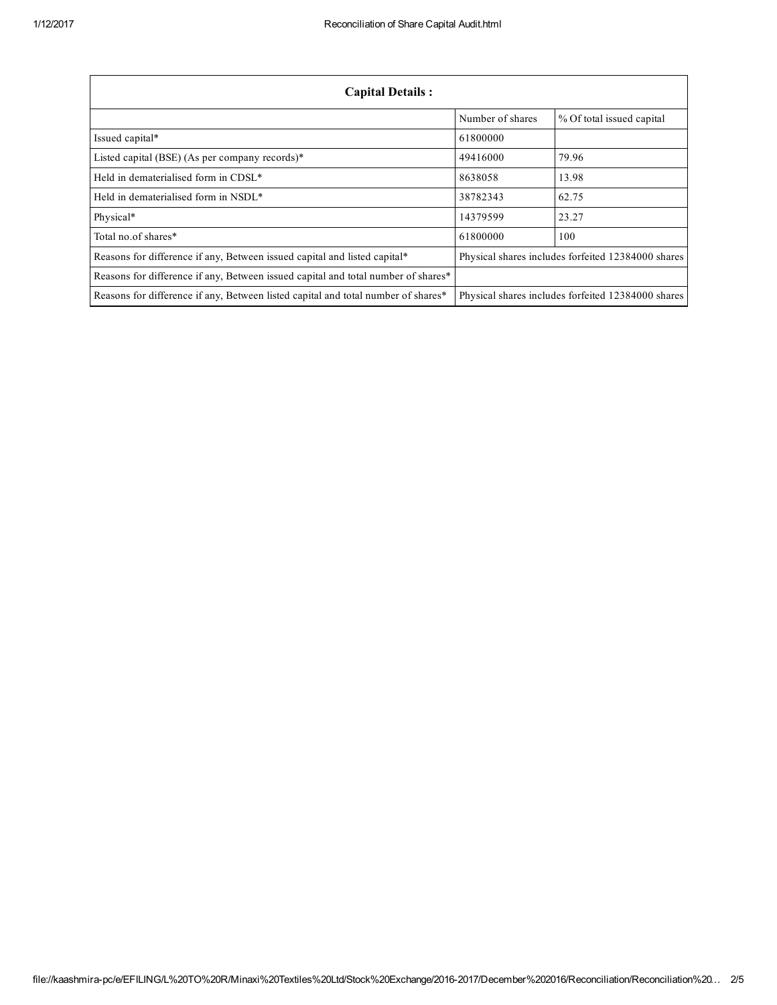| <b>Capital Details:</b>                                                           |                                                    |                                                    |  |
|-----------------------------------------------------------------------------------|----------------------------------------------------|----------------------------------------------------|--|
|                                                                                   | Number of shares                                   | % Of total issued capital                          |  |
| Issued capital*                                                                   | 61800000                                           |                                                    |  |
| Listed capital (BSE) (As per company records)*                                    | 49416000                                           | 79.96                                              |  |
| Held in dematerialised form in CDSL*                                              | 8638058                                            | 13.98                                              |  |
| Held in dematerialised form in NSDL*                                              | 38782343                                           | 62.75                                              |  |
| Physical*                                                                         | 14379599                                           | 23.27                                              |  |
| Total no.of shares*                                                               | 61800000                                           | 100                                                |  |
| Reasons for difference if any, Between issued capital and listed capital*         | Physical shares includes forfeited 12384000 shares |                                                    |  |
| Reasons for difference if any, Between issued capital and total number of shares* |                                                    |                                                    |  |
| Reasons for difference if any, Between listed capital and total number of shares* |                                                    | Physical shares includes forfeited 12384000 shares |  |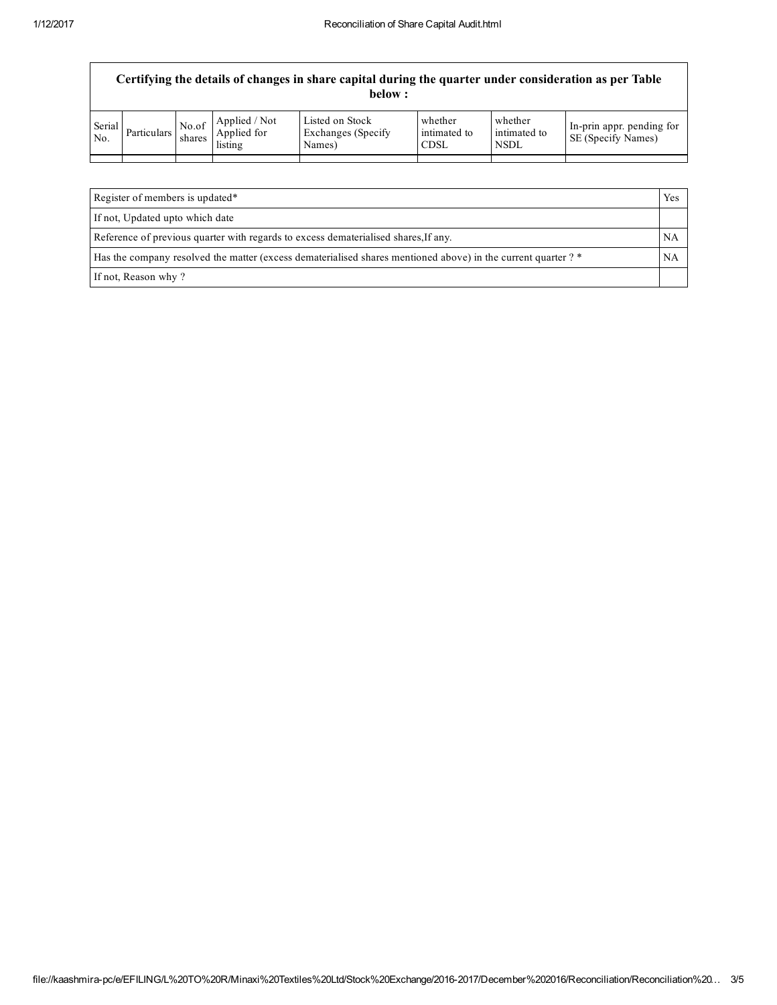| Certifying the details of changes in share capital during the quarter under consideration as per Table<br>below : |               |                 |                                         |                                                  |                                        |                                        |                                                        |
|-------------------------------------------------------------------------------------------------------------------|---------------|-----------------|-----------------------------------------|--------------------------------------------------|----------------------------------------|----------------------------------------|--------------------------------------------------------|
| Serial<br>No.                                                                                                     | Particulars I | No.of<br>shares | Applied / Not<br>Applied for<br>listing | Listed on Stock<br>Exchanges (Specify)<br>Names) | whether<br>intimated to<br><b>CDSL</b> | whether<br>intimated to<br><b>NSDL</b> | In-prin appr. pending for<br><b>SE</b> (Specify Names) |
|                                                                                                                   |               |                 |                                         |                                                  |                                        |                                        |                                                        |
|                                                                                                                   |               |                 |                                         |                                                  |                                        |                                        |                                                        |

| Register of members is updated*                                                                               | Yes |
|---------------------------------------------------------------------------------------------------------------|-----|
| If not, Updated upto which date                                                                               |     |
| Reference of previous quarter with regards to excess dematerialised shares, If any.                           | NA  |
| Has the company resolved the matter (excess dematerialised shares mentioned above) in the current quarter ? * | NA  |
| If not, Reason why?                                                                                           |     |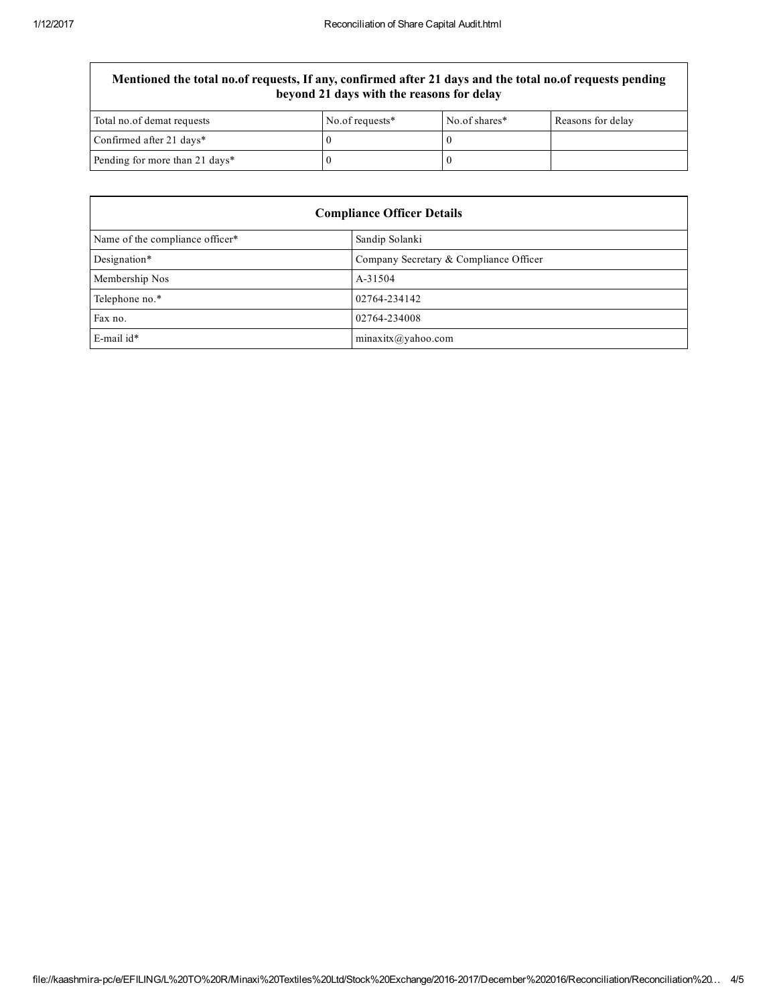## Mentioned the total no.of requests, If any, confirmed after 21 days and the total no.of requests pending beyond 21 days with the reasons for delay

| Total no.of demat requests     | No.of requests* | No.of shares* | Reasons for delay |
|--------------------------------|-----------------|---------------|-------------------|
| Confirmed after 21 days*       |                 |               |                   |
| Pending for more than 21 days* |                 |               |                   |

| <b>Compliance Officer Details</b> |                                        |  |
|-----------------------------------|----------------------------------------|--|
| Name of the compliance officer*   | Sandip Solanki                         |  |
| Designation*                      | Company Secretary & Compliance Officer |  |
| Membership Nos                    | A-31504                                |  |
| Telephone no.*                    | 02764-234142                           |  |
| Fax no.                           | 02764-234008                           |  |
| E-mail id*                        | minaxitx@yahoo.com                     |  |